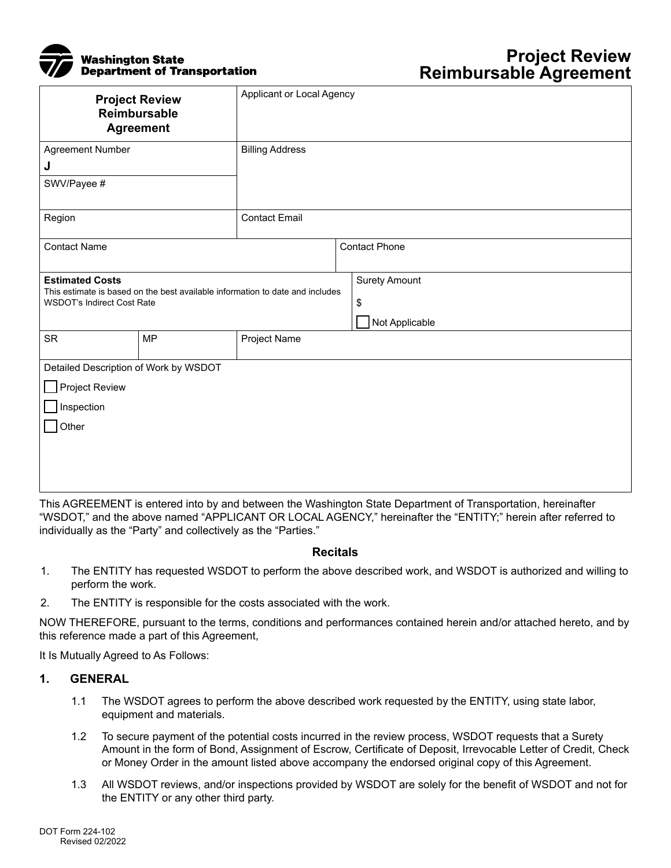

| <b>Project Review</b><br>Reimbursable<br><b>Agreement</b>                                                                                    |           | Applicant or Local Agency |                                              |
|----------------------------------------------------------------------------------------------------------------------------------------------|-----------|---------------------------|----------------------------------------------|
| Agreement Number                                                                                                                             |           | <b>Billing Address</b>    |                                              |
| J                                                                                                                                            |           |                           |                                              |
| SWV/Payee #                                                                                                                                  |           |                           |                                              |
| Region                                                                                                                                       |           | <b>Contact Email</b>      |                                              |
| <b>Contact Name</b>                                                                                                                          |           |                           | <b>Contact Phone</b>                         |
| <b>Estimated Costs</b><br>This estimate is based on the best available information to date and includes<br><b>WSDOT's Indirect Cost Rate</b> |           |                           | <b>Surety Amount</b><br>\$<br>Not Applicable |
| <b>SR</b>                                                                                                                                    | <b>MP</b> | Project Name              |                                              |
| Detailed Description of Work by WSDOT<br>Project Review<br>Inspection<br>Other                                                               |           |                           |                                              |

This AGREEMENT is entered into by and between the Washington State Department of Transportation, hereinafter "WSDOT," and the above named "APPLICANT OR LOCAL AGENCY," hereinafter the "ENTITY;" herein after referred to individually as the "Party" and collectively as the "Parties."

#### **Recitals**

- 1. The ENTITY has requested WSDOT to perform the above described work, and WSDOT is authorized and willing to perform the work.
- 2. The ENTITY is responsible for the costs associated with the work.

NOW THEREFORE, pursuant to the terms, conditions and performances contained herein and/or attached hereto, and by this reference made a part of this Agreement,

It Is Mutually Agreed to As Follows:

#### **1. GENERAL**

- 1.1 The WSDOT agrees to perform the above described work requested by the ENTITY, using state labor, equipment and materials.
- 1.2 To secure payment of the potential costs incurred in the review process, WSDOT requests that a Surety Amount in the form of Bond, Assignment of Escrow, Certificate of Deposit, Irrevocable Letter of Credit, Check or Money Order in the amount listed above accompany the endorsed original copy of this Agreement.
- 1.3 All WSDOT reviews, and/or inspections provided by WSDOT are solely for the benefit of WSDOT and not for the ENTITY or any other third party.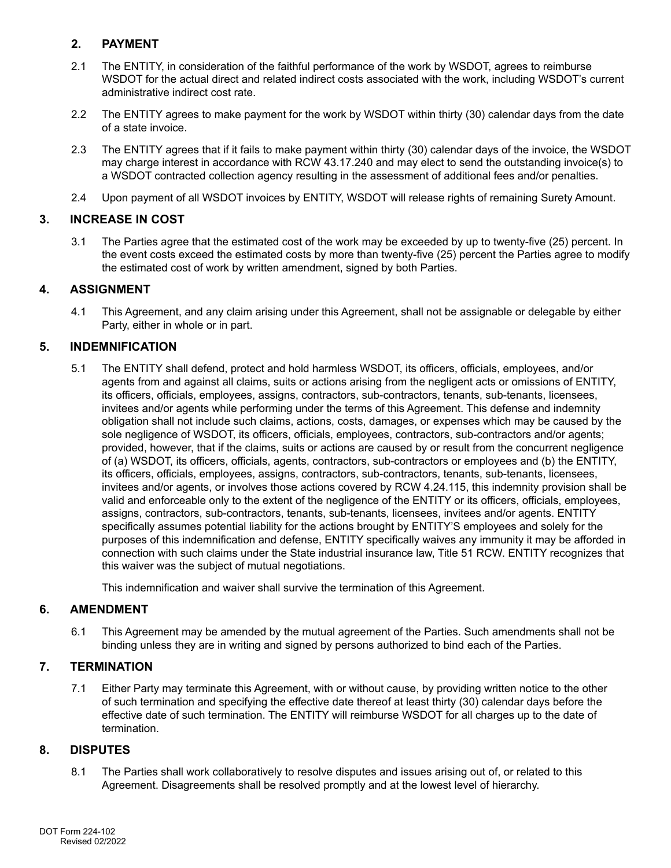# **2. PAYMENT**

- 2.1 The ENTITY, in consideration of the faithful performance of the work by WSDOT, agrees to reimburse WSDOT for the actual direct and related indirect costs associated with the work, including WSDOT's current administrative indirect cost rate.
- 2.2 The ENTITY agrees to make payment for the work by WSDOT within thirty (30) calendar days from the date of a state invoice.
- 2.3 The ENTITY agrees that if it fails to make payment within thirty (30) calendar days of the invoice, the WSDOT may charge interest in accordance with RCW 43.17.240 and may elect to send the outstanding invoice(s) to a WSDOT contracted collection agency resulting in the assessment of additional fees and/or penalties.
- 2.4 Upon payment of all WSDOT invoices by ENTITY, WSDOT will release rights of remaining Surety Amount.

# **3. INCREASE IN COST**

3.1 The Parties agree that the estimated cost of the work may be exceeded by up to twenty-five (25) percent. In the event costs exceed the estimated costs by more than twenty-five (25) percent the Parties agree to modify the estimated cost of work by written amendment, signed by both Parties.

## **4. ASSIGNMENT**

4.1 This Agreement, and any claim arising under this Agreement, shall not be assignable or delegable by either Party, either in whole or in part.

## **5. INDEMNIFICATION**

5.1 The ENTITY shall defend, protect and hold harmless WSDOT, its officers, officials, employees, and/or agents from and against all claims, suits or actions arising from the negligent acts or omissions of ENTITY, its officers, officials, employees, assigns, contractors, sub-contractors, tenants, sub-tenants, licensees, invitees and/or agents while performing under the terms of this Agreement. This defense and indemnity obligation shall not include such claims, actions, costs, damages, or expenses which may be caused by the sole negligence of WSDOT, its officers, officials, employees, contractors, sub-contractors and/or agents; provided, however, that if the claims, suits or actions are caused by or result from the concurrent negligence of (a) WSDOT, its officers, officials, agents, contractors, sub-contractors or employees and (b) the ENTITY, its officers, officials, employees, assigns, contractors, sub-contractors, tenants, sub-tenants, licensees, invitees and/or agents, or involves those actions covered by RCW 4.24.115, this indemnity provision shall be valid and enforceable only to the extent of the negligence of the ENTITY or its officers, officials, employees, assigns, contractors, sub-contractors, tenants, sub-tenants, licensees, invitees and/or agents. ENTITY specifically assumes potential liability for the actions brought by ENTITY'S employees and solely for the purposes of this indemnification and defense, ENTITY specifically waives any immunity it may be afforded in connection with such claims under the State industrial insurance law, Title 51 RCW. ENTITY recognizes that this waiver was the subject of mutual negotiations.

This indemnification and waiver shall survive the termination of this Agreement.

### **6. AMENDMENT**

6.1 This Agreement may be amended by the mutual agreement of the Parties. Such amendments shall not be binding unless they are in writing and signed by persons authorized to bind each of the Parties.

### **7. TERMINATION**

7.1 Either Party may terminate this Agreement, with or without cause, by providing written notice to the other of such termination and specifying the effective date thereof at least thirty (30) calendar days before the effective date of such termination. The ENTITY will reimburse WSDOT for all charges up to the date of termination.

### **8. DISPUTES**

8.1 The Parties shall work collaboratively to resolve disputes and issues arising out of, or related to this Agreement. Disagreements shall be resolved promptly and at the lowest level of hierarchy.